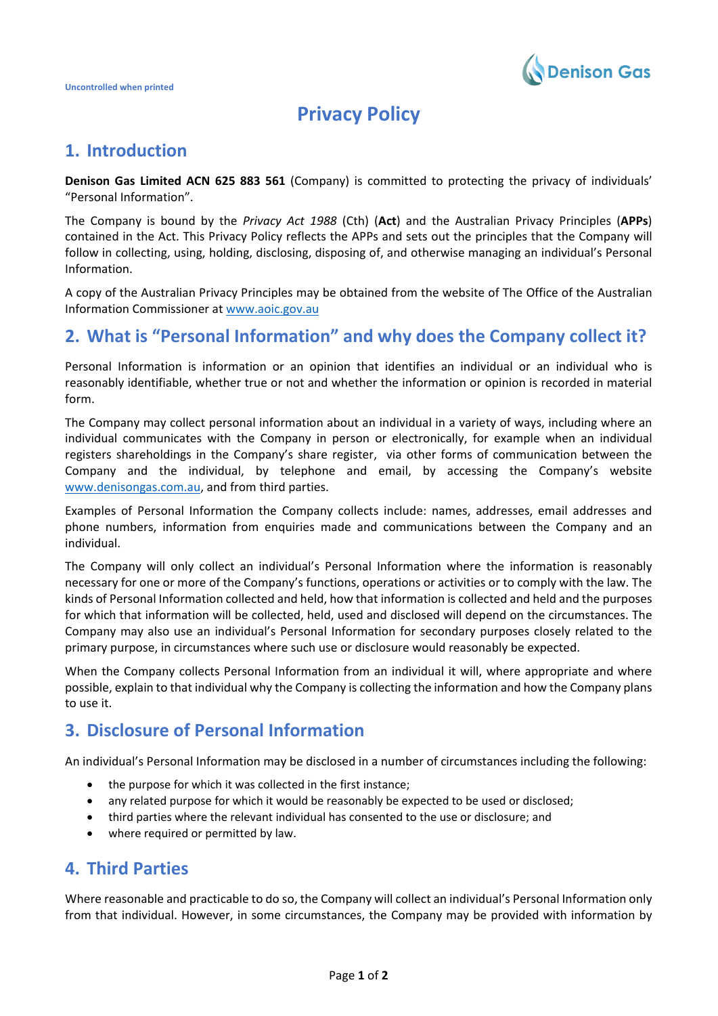

# **Privacy Policy**

## **1. Introduction**

**Denison Gas Limited ACN 625 883 561** (Company) is committed to protecting the privacy of individuals' "Personal Information".

The Company is bound by the *Privacy Act 1988* (Cth) (**Act**) and the Australian Privacy Principles (**APPs**) contained in the Act. This Privacy Policy reflects the APPs and sets out the principles that the Company will follow in collecting, using, holding, disclosing, disposing of, and otherwise managing an individual's Personal Information.

A copy of the Australian Privacy Principles may be obtained from the website of The Office of the Australian Information Commissioner a[t www.aoic.gov.au](http://www.aoic.gov.au/)

## **2. What is "Personal Information" and why does the Company collect it?**

Personal Information is information or an opinion that identifies an individual or an individual who is reasonably identifiable, whether true or not and whether the information or opinion is recorded in material form.

The Company may collect personal information about an individual in a variety of ways, including where an individual communicates with the Company in person or electronically, for example when an individual registers shareholdings in the Company's share register, via other forms of communication between the Company and the individual, by telephone and email, by accessing the Company's website [www.denisongas.com.au,](http://www.denisongas.com.au/) and from third parties.

Examples of Personal Information the Company collects include: names, addresses, email addresses and phone numbers, information from enquiries made and communications between the Company and an individual.

The Company will only collect an individual's Personal Information where the information is reasonably necessary for one or more of the Company's functions, operations or activities or to comply with the law. The kinds of Personal Information collected and held, how that information is collected and held and the purposes for which that information will be collected, held, used and disclosed will depend on the circumstances. The Company may also use an individual's Personal Information for secondary purposes closely related to the primary purpose, in circumstances where such use or disclosure would reasonably be expected.

When the Company collects Personal Information from an individual it will, where appropriate and where possible, explain to that individual why the Company is collecting the information and how the Company plans to use it.

## **3. Disclosure of Personal Information**

An individual's Personal Information may be disclosed in a number of circumstances including the following:

- the purpose for which it was collected in the first instance;
- any related purpose for which it would be reasonably be expected to be used or disclosed;
- third parties where the relevant individual has consented to the use or disclosure; and
- where required or permitted by law.

### **4. Third Parties**

Where reasonable and practicable to do so, the Company will collect an individual's Personal Information only from that individual. However, in some circumstances, the Company may be provided with information by